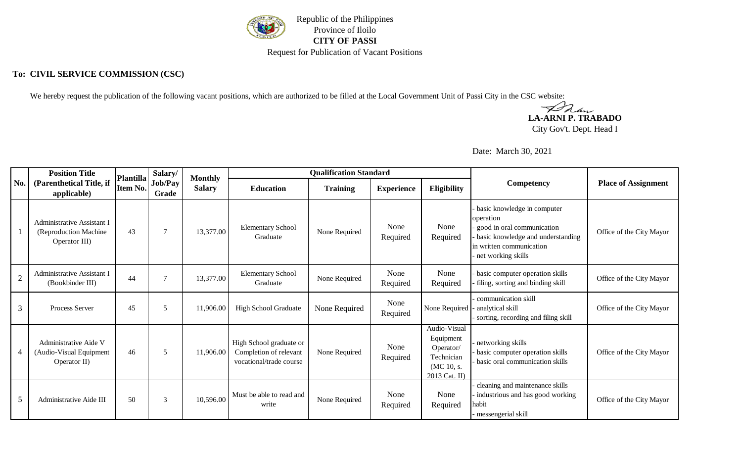

## **To: CIVIL SERVICE COMMISSION (CSC)**

We hereby request the publication of the following vacant positions, which are authorized to be filled at the Local Government Unit of Passi City in the CSC website:

**LA-ARNI P. TRABADO**

City Gov't. Dept. Head I

Date: March 30, 2021

|                | <b>Position Title</b>                                                 | Plantilla | Salary/          | <b>Monthly</b> |                                                                              | <b>Qualification Standard</b> |                                         |                                                                                     |                                                                                                                                                               |                            |  |
|----------------|-----------------------------------------------------------------------|-----------|------------------|----------------|------------------------------------------------------------------------------|-------------------------------|-----------------------------------------|-------------------------------------------------------------------------------------|---------------------------------------------------------------------------------------------------------------------------------------------------------------|----------------------------|--|
| No.            | (Parenthetical Title, if<br>Item No.<br>applicable)                   |           | Job/Pay<br>Grade | <b>Salary</b>  | <b>Education</b>                                                             | <b>Training</b>               | <b>Eligibility</b><br><b>Experience</b> |                                                                                     | <b>Competency</b>                                                                                                                                             | <b>Place of Assignment</b> |  |
|                | Administrative Assistant I<br>(Reproduction Machine)<br>Operator III) | 43        | $\overline{7}$   | 13,377.00      | <b>Elementary School</b><br>Graduate                                         | None Required                 | None<br>Required                        | None<br>Required                                                                    | basic knowledge in computer<br>operation<br>good in oral communication<br>basic knowledge and understanding<br>in written communication<br>net working skills | Office of the City Mayor   |  |
| $\overline{2}$ | Administrative Assistant I<br>(Bookbinder III)                        | 44        |                  | 13,377.00      | <b>Elementary School</b><br>Graduate                                         | None Required                 | None<br>Required                        | None<br>Required                                                                    | basic computer operation skills<br>filing, sorting and binding skill                                                                                          | Office of the City Mayor   |  |
| 3              | Process Server                                                        | 45        | 5                | 11,906.00      | <b>High School Graduate</b>                                                  | None Required                 | None<br>Required                        | None Required                                                                       | communication skill<br>analytical skill<br>sorting, recording and filing skill                                                                                | Office of the City Mayor   |  |
| 4              | Administrative Aide V<br>(Audio-Visual Equipment<br>Operator II)      | 46        | $\overline{5}$   | 11,906.00      | High School graduate or<br>Completion of relevant<br>vocational/trade course | None Required                 | None<br>Required                        | Audio-Visual<br>Equipment<br>Operator/<br>Technician<br>(MC 10, s.<br>2013 Cat. II) | networking skills<br>basic computer operation skills<br>basic oral communication skills                                                                       | Office of the City Mayor   |  |
| 5              | Administrative Aide III                                               | 50        | 3                | 10,596.00      | Must be able to read and<br>write                                            | None Required                 | None<br>Required                        | None<br>Required                                                                    | cleaning and maintenance skills<br>industrious and has good working<br>habit<br>messengerial skill                                                            | Office of the City Mayor   |  |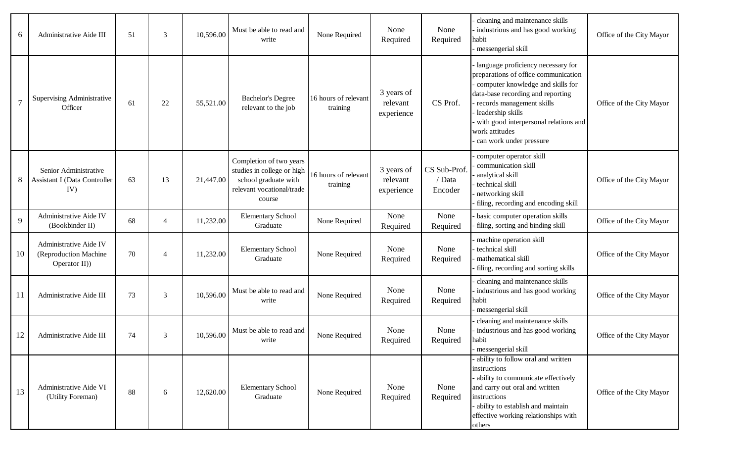| 6  | Administrative Aide III                                          | 51 | 3              | 10,596.00 | Must be able to read and<br>write                                                                                    | None Required                    | None<br>Required                     | None<br>Required                  | cleaning and maintenance skills<br>industrious and has good working<br>habit<br>messengerial skill                                                                                                                                                                                           | Office of the City Mayor |
|----|------------------------------------------------------------------|----|----------------|-----------|----------------------------------------------------------------------------------------------------------------------|----------------------------------|--------------------------------------|-----------------------------------|----------------------------------------------------------------------------------------------------------------------------------------------------------------------------------------------------------------------------------------------------------------------------------------------|--------------------------|
|    | Supervising Administrative<br>Officer                            | 61 | 22             | 55,521.00 | <b>Bachelor's Degree</b><br>relevant to the job                                                                      | 16 hours of relevant<br>training | 3 years of<br>relevant<br>experience | CS Prof.                          | language proficiency necessary for<br>preparations of office communication<br>computer knowledge and skills for<br>data-base recording and reporting<br>records management skills<br>leadership skills<br>with good interpersonal relations and<br>work attitudes<br>can work under pressure | Office of the City Mayor |
|    | Senior Administrative<br>Assistant I (Data Controller<br>IV)     | 63 | 13             | 21,447.00 | Completion of two years<br>studies in college or high<br>school graduate with<br>relevant vocational/trade<br>course | 16 hours of relevant<br>training | 3 years of<br>relevant<br>experience | CS Sub-Prof.<br>/ Data<br>Encoder | computer operator skill<br>communication skill<br>analytical skill<br>technical skill<br>networking skill<br>filing, recording and encoding skill                                                                                                                                            | Office of the City Mayor |
| 9  | Administrative Aide IV<br>(Bookbinder II)                        | 68 | $\overline{4}$ | 11,232.00 | <b>Elementary School</b><br>Graduate                                                                                 | None Required                    | None<br>Required                     | None<br>Required                  | basic computer operation skills<br>filing, sorting and binding skill                                                                                                                                                                                                                         | Office of the City Mayor |
| 10 | Administrative Aide IV<br>(Reproduction Machine<br>Operator II)) | 70 | $\overline{4}$ | 11,232.00 | <b>Elementary School</b><br>Graduate                                                                                 | None Required                    | None<br>Required                     | None<br>Required                  | machine operation skill<br>technical skill<br>mathematical skill<br>filing, recording and sorting skills                                                                                                                                                                                     | Office of the City Mayor |
| 11 | Administrative Aide III                                          | 73 | 3              | 10,596.00 | Must be able to read and<br>write                                                                                    | None Required                    | None<br>Required                     | None<br>Required                  | cleaning and maintenance skills<br>industrious and has good working<br>habit<br>messengerial skill                                                                                                                                                                                           | Office of the City Mayor |
| 12 | Administrative Aide III                                          | 74 | 3              | 10,596.00 | Must be able to read and<br>write                                                                                    | None Required                    | None<br>Required                     | None<br>Required                  | cleaning and maintenance skills<br>industrious and has good working<br>habit<br>messengerial skill                                                                                                                                                                                           | Office of the City Mayor |
| 13 | Administrative Aide VI<br>(Utility Foreman)                      | 88 | 6              | 12,620.00 | <b>Elementary School</b><br>Graduate                                                                                 | None Required                    | None<br>Required                     | None<br>Required                  | ability to follow oral and written<br>instructions<br>ability to communicate effectively<br>and carry out oral and written<br>instructions<br>ability to establish and maintain<br>effective working relationships with<br>others                                                            | Office of the City Mayor |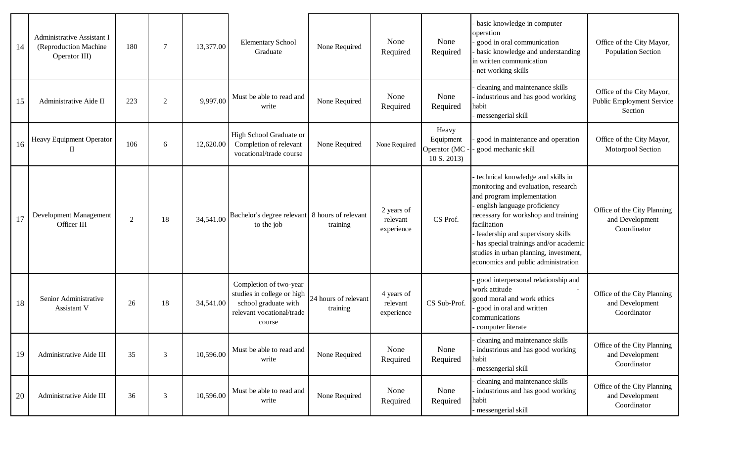| 14 | <b>Administrative Assistant I</b><br>(Reproduction Machine<br>Operator III) | 180 | $\tau$         | 13,377.00 | <b>Elementary School</b><br>Graduate                                                                                | None Required                    | None<br>Required                     | None<br>Required                                 | basic knowledge in computer<br>operation<br>good in oral communication<br>basic knowledge and understanding<br>in written communication<br>net working skills                                                                                                                                                                                                | Office of the City Mayor,<br><b>Population Section</b>                   |
|----|-----------------------------------------------------------------------------|-----|----------------|-----------|---------------------------------------------------------------------------------------------------------------------|----------------------------------|--------------------------------------|--------------------------------------------------|--------------------------------------------------------------------------------------------------------------------------------------------------------------------------------------------------------------------------------------------------------------------------------------------------------------------------------------------------------------|--------------------------------------------------------------------------|
| 15 | Administrative Aide II                                                      | 223 | $\overline{2}$ | 9,997.00  | Must be able to read and<br>write                                                                                   | None Required                    | None<br>Required                     | None<br>Required                                 | cleaning and maintenance skills<br>industrious and has good working<br>habit<br>messengerial skill                                                                                                                                                                                                                                                           | Office of the City Mayor,<br><b>Public Employment Service</b><br>Section |
| 16 | Heavy Equipment Operator<br>Н                                               | 106 | 6              | 12,620.00 | High School Graduate or<br>Completion of relevant<br>vocational/trade course                                        | None Required                    | None Required                        | Heavy<br>Equipment<br>Operator (MC<br>10 S. 2013 | good in maintenance and operation<br>good mechanic skill                                                                                                                                                                                                                                                                                                     | Office of the City Mayor,<br>Motorpool Section                           |
| 17 | Development Management<br>Officer III                                       | 2   | 18             | 34,541.00 | Bachelor's degree relevant   8 hours of relevant<br>to the job                                                      | training                         | 2 years of<br>relevant<br>experience | CS Prof.                                         | technical knowledge and skills in<br>monitoring and evaluation, research<br>and program implementation<br>english language proficiency<br>necessary for workshop and training<br>facilitation<br>leadership and supervisory skills<br>has special trainings and/or academic<br>studies in urban planning, investment,<br>economics and public administration | Office of the City Planning<br>and Development<br>Coordinator            |
| 18 | Senior Administrative<br><b>Assistant V</b>                                 | 26  | 18             | 34,541.00 | Completion of two-year<br>studies in college or high<br>school graduate with<br>relevant vocational/trade<br>course | 24 hours of relevant<br>training | 4 years of<br>relevant<br>experience | CS Sub-Prof.                                     | good interpersonal relationship and<br>work attitude<br>good moral and work ethics<br>good in oral and written<br>communications<br>computer literate                                                                                                                                                                                                        | Office of the City Planning<br>and Development<br>Coordinator            |
| 19 | Administrative Aide III                                                     | 35  | 3              | 10,596.00 | Must be able to read and<br>write                                                                                   | None Required                    | None<br>Required                     | None<br>Required                                 | - cleaning and maintenance skills<br>industrious and has good working<br>habit<br>messengerial skill                                                                                                                                                                                                                                                         | Office of the City Planning<br>and Development<br>Coordinator            |
| 20 | Administrative Aide III                                                     | 36  | 3              | 10,596.00 | Must be able to read and<br>write                                                                                   | None Required                    | None<br>Required                     | None<br>Required                                 | cleaning and maintenance skills<br>industrious and has good working<br>habit<br>messengerial skill                                                                                                                                                                                                                                                           | Office of the City Planning<br>and Development<br>Coordinator            |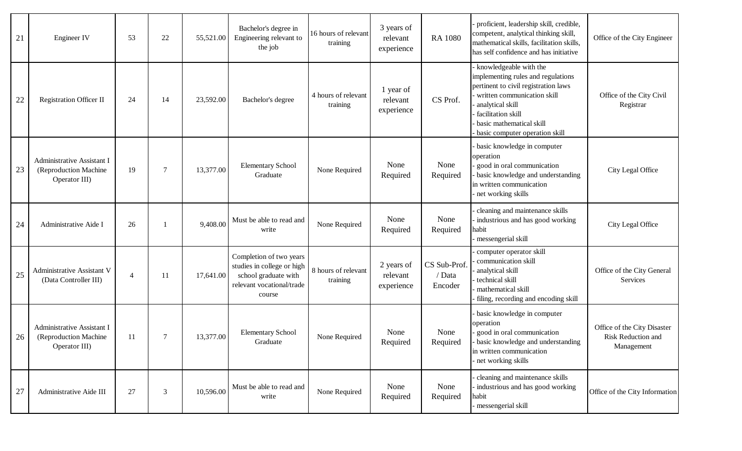| 21 | Engineer IV                                                          | 53             | 22             | 55,521.00 | Bachelor's degree in<br>Engineering relevant to<br>the job                                                           | 16 hours of relevant<br>training | 3 years of<br>relevant<br>experience | <b>RA 1080</b>                    | proficient, leadership skill, credible,<br>competent, analytical thinking skill,<br>mathematical skills, facilitation skills,<br>has self confidence and has initiative                                                                     | Office of the City Engineer                                     |
|----|----------------------------------------------------------------------|----------------|----------------|-----------|----------------------------------------------------------------------------------------------------------------------|----------------------------------|--------------------------------------|-----------------------------------|---------------------------------------------------------------------------------------------------------------------------------------------------------------------------------------------------------------------------------------------|-----------------------------------------------------------------|
| 22 | <b>Registration Officer II</b>                                       | 24             | 14             | 23,592.00 | Bachelor's degree                                                                                                    | 4 hours of relevant<br>training  | 1 year of<br>relevant<br>experience  | CS Prof.                          | knowledgeable with the<br>implementing rules and regulations<br>pertinent to civil registration laws<br>written communication skill<br>analytical skill<br>facilitation skill<br>basic mathematical skill<br>basic computer operation skill | Office of the City Civil<br>Registrar                           |
| 23 | Administrative Assistant I<br>(Reproduction Machine<br>Operator III) | 19             | $\overline{7}$ | 13,377.00 | <b>Elementary School</b><br>Graduate                                                                                 | None Required                    | None<br>Required                     | None<br>Required                  | basic knowledge in computer<br>operation<br>good in oral communication<br>basic knowledge and understanding<br>in written communication<br>net working skills                                                                               | City Legal Office                                               |
| 24 | Administrative Aide I                                                | 26             |                | 9,408.00  | Must be able to read and<br>write                                                                                    | None Required                    | None<br>Required                     | None<br>Required                  | cleaning and maintenance skills<br>industrious and has good working<br>habit<br>messengerial skill                                                                                                                                          | City Legal Office                                               |
| 25 | Administrative Assistant V<br>(Data Controller III)                  | $\overline{4}$ | 11             | 17,641.00 | Completion of two years<br>studies in college or high<br>school graduate with<br>relevant vocational/trade<br>course | 8 hours of relevant<br>training  | 2 years of<br>relevant<br>experience | CS Sub-Prof.<br>/ Data<br>Encoder | computer operator skill<br>communication skill<br>analytical skill<br>technical skill<br>mathematical skill<br>filing, recording and encoding skill                                                                                         | Office of the City General<br>Services                          |
| 26 | Administrative Assistant I<br>(Reproduction Machine<br>Operator III) | 11             | 7              | 13,377.00 | <b>Elementary School</b><br>Graduate                                                                                 | None Required                    | None<br>Required                     | None<br>Required                  | basic knowledge in computer<br>operation<br>good in oral communication<br>basic knowledge and understanding<br>in written communication<br>net working skills                                                                               | Office of the City Disaster<br>Risk Reduction and<br>Management |
| 27 | Administrative Aide III                                              | 27             | $\mathfrak{Z}$ | 10,596.00 | Must be able to read and<br>write                                                                                    | None Required                    | None<br>Required                     | None<br>Required                  | cleaning and maintenance skills<br>industrious and has good working<br>habit<br>messengerial skill                                                                                                                                          | Office of the City Information                                  |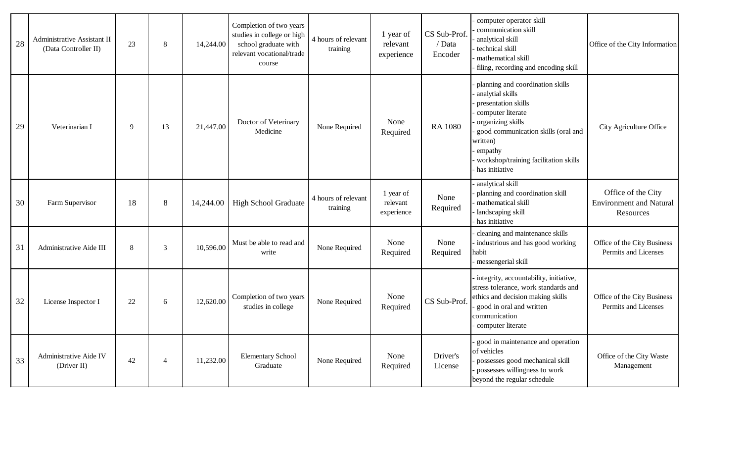| 28 | Administrative Assistant II<br>(Data Controller II) | 23 | 8              | 14,244.00 | Completion of two years<br>studies in college or high<br>school graduate with<br>relevant vocational/trade<br>course | 4 hours of relevant<br>training | 1 year of<br>relevant<br>experience | CS Sub-Prof.<br>/ Data<br>Encoder | computer operator skill<br>communication skill<br>analytical skill<br>technical skill<br>mathematical skill<br>filing, recording and encoding skill                                                                                            | Office of the City Information                                    |
|----|-----------------------------------------------------|----|----------------|-----------|----------------------------------------------------------------------------------------------------------------------|---------------------------------|-------------------------------------|-----------------------------------|------------------------------------------------------------------------------------------------------------------------------------------------------------------------------------------------------------------------------------------------|-------------------------------------------------------------------|
| 29 | Veterinarian I                                      | 9  | 13             | 21,447.00 | Doctor of Veterinary<br>Medicine                                                                                     | None Required                   | None<br>Required                    | <b>RA 1080</b>                    | planning and coordination skills<br>analytial skills<br>presentation skills<br>computer literate<br>organizing skills<br>good communication skills (oral and<br>written)<br>empathy<br>workshop/training facilitation skills<br>has initiative | City Agriculture Office                                           |
| 30 | Farm Supervisor                                     | 18 | 8              | 14,244.00 | <b>High School Graduate</b>                                                                                          | 4 hours of relevant<br>training | 1 year of<br>relevant<br>experience | None<br>Required                  | analytical skill<br>planning and coordination skill<br>mathematical skill<br>landscaping skill<br>has initiative                                                                                                                               | Office of the City<br><b>Environment and Natural</b><br>Resources |
| 31 | Administrative Aide III                             | 8  | 3              | 10,596.00 | Must be able to read and<br>write                                                                                    | None Required                   | None<br>Required                    | None<br>Required                  | cleaning and maintenance skills<br>industrious and has good working<br>habit<br>messengerial skill                                                                                                                                             | Office of the City Business<br>Permits and Licenses               |
| 32 | License Inspector I                                 | 22 | 6              | 12,620.00 | Completion of two years<br>studies in college                                                                        | None Required                   | None<br>Required                    | CS Sub-Prof.                      | integrity, accountability, initiative,<br>stress tolerance, work standards and<br>ethics and decision making skills<br>good in oral and written<br>communication<br>computer literate                                                          | Office of the City Business<br>Permits and Licenses               |
| 33 | Administrative Aide IV<br>(Driver II)               | 42 | $\overline{4}$ | 11,232.00 | <b>Elementary School</b><br>Graduate                                                                                 | None Required                   | None<br>Required                    | Driver's<br>License               | good in maintenance and operation<br>of vehicles<br>possesses good mechanical skill<br>possesses willingness to work<br>beyond the regular schedule                                                                                            | Office of the City Waste<br>Management                            |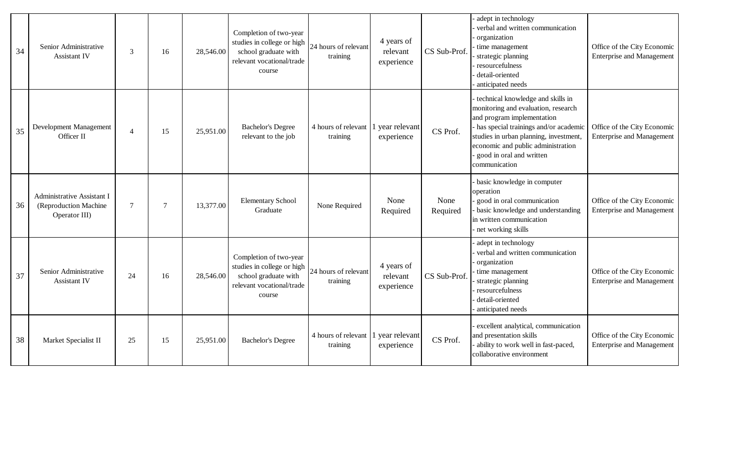| 34 | Senior Administrative<br>Assistant IV                                 | 3              | 16     | 28,546.00 | Completion of two-year<br>studies in college or high<br>school graduate with<br>relevant vocational/trade<br>course | 24 hours of relevant<br>training | 4 years of<br>relevant<br>experience | CS Sub-Prof.     | adept in technology<br>verbal and written communication<br>organization<br>time management<br>strategic planning<br>resourcefulness<br>detail-oriented<br>anticipated needs                                                                                                  | Office of the City Economic<br><b>Enterprise and Management</b> |
|----|-----------------------------------------------------------------------|----------------|--------|-----------|---------------------------------------------------------------------------------------------------------------------|----------------------------------|--------------------------------------|------------------|------------------------------------------------------------------------------------------------------------------------------------------------------------------------------------------------------------------------------------------------------------------------------|-----------------------------------------------------------------|
| 35 | Development Management<br>Officer II                                  | $\overline{4}$ | 15     | 25,951.00 | <b>Bachelor's Degree</b><br>relevant to the job                                                                     | 4 hours of relevant<br>training  | l year relevant<br>experience        | CS Prof.         | technical knowledge and skills in<br>monitoring and evaluation, research<br>and program implementation<br>has special trainings and/or academic<br>studies in urban planning, investment,<br>economic and public administration<br>good in oral and written<br>communication | Office of the City Economic<br><b>Enterprise and Management</b> |
| 36 | Administrative Assistant I<br>(Reproduction Machine)<br>Operator III) | $\tau$         | $\tau$ | 13,377.00 | <b>Elementary School</b><br>Graduate                                                                                | None Required                    | None<br>Required                     | None<br>Required | basic knowledge in computer<br>operation<br>good in oral communication<br>basic knowledge and understanding<br>in written communication<br>net working skills                                                                                                                | Office of the City Economic<br><b>Enterprise and Management</b> |
| 37 | Senior Administrative<br><b>Assistant IV</b>                          | 24             | 16     | 28,546.00 | Completion of two-year<br>studies in college or high<br>school graduate with<br>relevant vocational/trade<br>course | 24 hours of relevant<br>training | 4 years of<br>relevant<br>experience | CS Sub-Prof.     | adept in technology<br>verbal and written communication<br>organization<br>time management<br>strategic planning<br>resourcefulness<br>detail-oriented<br>anticipated needs                                                                                                  | Office of the City Economic<br><b>Enterprise and Management</b> |
| 38 | Market Specialist II                                                  | 25             | 15     | 25,951.00 | <b>Bachelor's Degree</b>                                                                                            | 4 hours of relevant<br>training  | l year relevant<br>experience        | CS Prof.         | excellent analytical, communication<br>and presentation skills<br>ability to work well in fast-paced,<br>collaborative environment                                                                                                                                           | Office of the City Economic<br><b>Enterprise and Management</b> |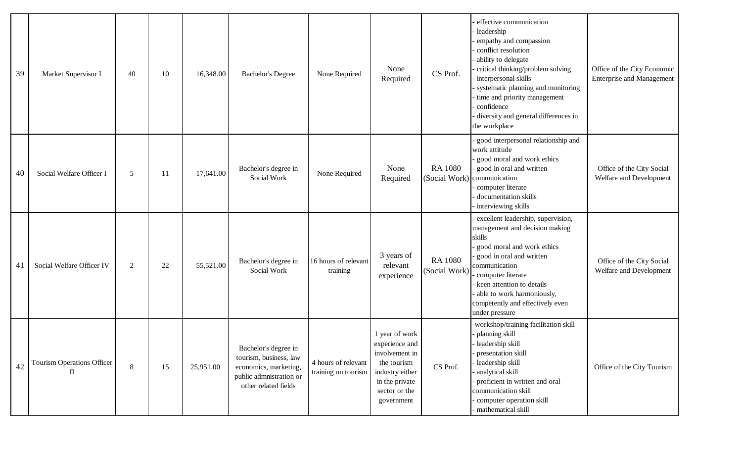| 39 | Market Supervisor I                               | 40 | 10 | 16,348.00 | <b>Bachelor's Degree</b>                                                                                                   | None Required                              | None<br>Required                                                                                                                      | CS Prof.                        | effective communication<br>leadership<br>empathy and compassion<br>conflict resolution<br>ability to delegate<br>critical thinking/problem solving<br>interpersonal skills<br>systematic planning and monitoring<br>time and priority management<br>confidence<br>diversity and general differences in<br>the workplace | Office of the City Economic<br><b>Enterprise and Management</b> |
|----|---------------------------------------------------|----|----|-----------|----------------------------------------------------------------------------------------------------------------------------|--------------------------------------------|---------------------------------------------------------------------------------------------------------------------------------------|---------------------------------|-------------------------------------------------------------------------------------------------------------------------------------------------------------------------------------------------------------------------------------------------------------------------------------------------------------------------|-----------------------------------------------------------------|
| 40 | Social Welfare Officer I                          | 5  | 11 | 17,641.00 | Bachelor's degree in<br>Social Work                                                                                        | None Required                              | None<br>Required                                                                                                                      | <b>RA 1080</b>                  | good interpersonal relationship and<br>work attitude<br>good moral and work ethics<br>good in oral and written<br>(Social Work) communication<br>computer literate<br>documentation skills<br>interviewing skills                                                                                                       | Office of the City Social<br>Welfare and Development            |
| 41 | Social Welfare Officer IV                         | 2  | 22 | 55,521.00 | Bachelor's degree in<br>Social Work                                                                                        | 16 hours of relevant<br>training           | 3 years of<br>relevant<br>experience                                                                                                  | <b>RA 1080</b><br>(Social Work) | excellent leadership, supervision,<br>management and decision making<br>skills<br>good moral and work ethics<br>good in oral and written<br>communication<br>computer literate<br>keen attention to details<br>able to work harmoniously,<br>competently and effectively even<br>under pressure                         | Office of the City Social<br>Welfare and Development            |
| 42 | <b>Tourism Operations Officer</b><br>$\mathbf{I}$ | 8  | 15 | 25,951.00 | Bachelor's degree in<br>tourism, business, law<br>economics, marketing,<br>public admnistration or<br>other related fields | 4 hours of relevant<br>training on tourism | 1 year of work<br>experience and<br>involvement in<br>the tourism<br>industry either<br>in the private<br>sector or the<br>government | CS Prof.                        | -workshop/training facilitation skill<br>planning skill<br>leadership skill<br>presentation skill<br>leadership skill<br>analytical skill<br>proficient in written and oral<br>communication skill<br>computer operation skill<br>mathematical skill                                                                    | Office of the City Tourism                                      |